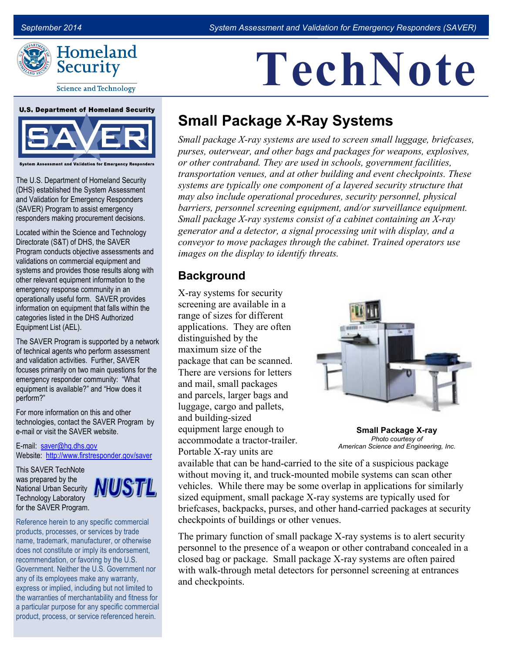**TechNote**



**Science and Technology** 

#### **U.S. Department of Homeland Security**



ssessment and Validation for Emergency Responders

The U.S. Department of Homeland Security (DHS) established the System Assessment and Validation for Emergency Responders (SAVER) Program to assist emergency responders making procurement decisions.

Located within the Science and Technology Directorate (S&T) of DHS, the SAVER Program conducts objective assessments and validations on commercial equipment and systems and provides those results along with other relevant equipment information to the emergency response community in an operationally useful form. SAVER provides information on equipment that falls within the categories listed in the DHS Authorized Equipment List (AEL).

The SAVER Program is supported by a network of technical agents who perform assessment and validation activities. Further, SAVER focuses primarily on two main questions for the emergency responder community: "What equipment is available?" and "How does it perform?"

For more information on this and other technologies, contact the SAVER Program by e-mail or visit the SAVER website.

E-mail: [saver@hq.dhs.gov](mailto:saver@hq.dhs.gov)  Website: <http://www.firstresponder.gov/saver>

This SAVER TechNote was prepared by the National Urban Security Technology Laboratory for the SAVER Program.



Reference herein to any specific commercial products, processes, or services by trade name, trademark, manufacturer, or otherwise does not constitute or imply its endorsement, recommendation, or favoring by the U.S. Government. Neither the U.S. Government nor any of its employees make any warranty, express or implied, including but not limited to the warranties of merchantability and fitness for a particular purpose for any specific commercial product, process, or service referenced herein.

# **Small Package X-Ray Systems**

 *purses, outerwear, and other bags and packages for weapons, explosives, systems are typically one component of a layered security structure that generator and a detector, a signal processing unit with display, and a conveyor to move packages through the cabinet. Trained operators use Small package X-ray systems are used to screen small luggage, briefcases, or other contraband. They are used in schools, government facilities, transportation venues, and at other building and event checkpoints. These may also include operational procedures, security personnel, physical barriers, personnel screening equipment, and/or surveillance equipment. Small package X-ray systems consist of a cabinet containing an X-ray images on the display to identify threats.* 

#### **Background**

 screening are available in a luggage, cargo and pallets, Portable X-ray units are X-ray systems for security range of sizes for different applications. They are often distinguished by the maximum size of the package that can be scanned. There are versions for letters and mail, small packages and parcels, larger bags and and building-sized equipment large enough to accommodate a tractor-trailer.



 *Photo courtesy of American Science and Engineering, Inc.* **Small Package X-ray** 

 without moving it, and truck-mounted mobile systems can scan other vehicles. While there may be some overlap in applications for similarly sized equipment, small package X-ray systems are typically used for available that can be hand-carried to the site of a suspicious package briefcases, backpacks, purses, and other hand-carried packages at security checkpoints of buildings or other venues.

 The primary function of small package X-ray systems is to alert security personnel to the presence of a weapon or other contraband concealed in a closed bag or package. Small package X-ray systems are often paired with walk-through metal detectors for personnel screening at entrances and checkpoints.